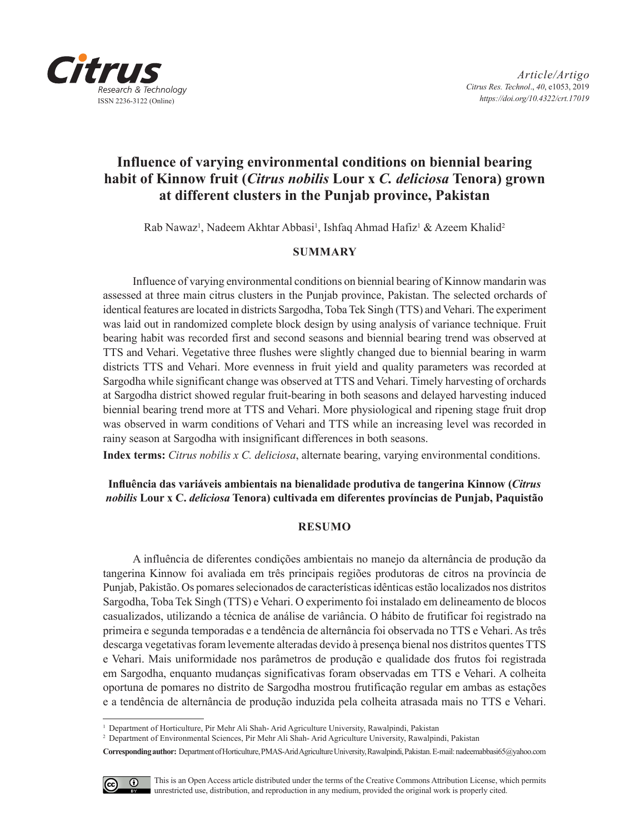

# **Influence of varying environmental conditions on biennial bearing habit of Kinnow fruit (***Citrus nobilis* **Lour x** *C. deliciosa* **Tenora) grown at different clusters in the Punjab province, Pakistan**

Rab Nawaz<sup>ı</sup>, Nadeem Akhtar Abbasi<sup>ı</sup>, Ishfaq Ahmad Hafiz<sup>ı</sup> & Azeem Khalid<sup>2</sup>

# **SUMMARY**

Influence of varying environmental conditions on biennial bearing of Kinnow mandarin was assessed at three main citrus clusters in the Punjab province, Pakistan. The selected orchards of identical features are located in districts Sargodha, Toba Tek Singh (TTS) and Vehari. The experiment was laid out in randomized complete block design by using analysis of variance technique. Fruit bearing habit was recorded first and second seasons and biennial bearing trend was observed at TTS and Vehari. Vegetative three flushes were slightly changed due to biennial bearing in warm districts TTS and Vehari. More evenness in fruit yield and quality parameters was recorded at Sargodha while significant change was observed at TTS and Vehari. Timely harvesting of orchards at Sargodha district showed regular fruit-bearing in both seasons and delayed harvesting induced biennial bearing trend more at TTS and Vehari. More physiological and ripening stage fruit drop was observed in warm conditions of Vehari and TTS while an increasing level was recorded in rainy season at Sargodha with insignificant differences in both seasons.

**Index terms:** *Citrus nobilis x C. deliciosa*, alternate bearing, varying environmental conditions.

# **Influência das variáveis ambientais na bienalidade produtiva de tangerina Kinnow (***Citrus nobilis* **Lour x C.** *deliciosa* **Tenora) cultivada em diferentes províncias de Punjab, Paquistão**

# **RESUMO**

A influência de diferentes condições ambientais no manejo da alternância de produção da tangerina Kinnow foi avaliada em três principais regiões produtoras de citros na província de Punjab, Pakistão. Os pomares selecionados de características idênticas estão localizados nos distritos Sargodha, Toba Tek Singh (TTS) e Vehari. O experimento foi instalado em delineamento de blocos casualizados, utilizando a técnica de análise de variância. O hábito de frutificar foi registrado na primeira e segunda temporadas e a tendência de alternância foi observada no TTS e Vehari. As três descarga vegetativas foram levemente alteradas devido à presença bienal nos distritos quentes TTS e Vehari. Mais uniformidade nos parâmetros de produção e qualidade dos frutos foi registrada em Sargodha, enquanto mudanças significativas foram observadas em TTS e Vehari. A colheita oportuna de pomares no distrito de Sargodha mostrou frutificação regular em ambas as estações e a tendência de alternância de produção induzida pela colheita atrasada mais no TTS e Vehari.

**Corresponding author:** Department of Horticulture, PMAS-Arid Agriculture University, Rawalpindi, Pakistan. E-mail: nadeemabbasi65@yahoo.com



This is an Open Access article distributed under the terms of the Creative Commons Attribution License, which permits unrestricted use, distribution, and reproduction in any medium, provided the original work is properly cited.

<sup>1</sup> Department of Horticulture, Pir Mehr Ali Shah- Arid Agriculture University, Rawalpindi, Pakistan

<sup>2</sup> Department of Environmental Sciences, Pir Mehr Ali Shah- Arid Agriculture University, Rawalpindi, Pakistan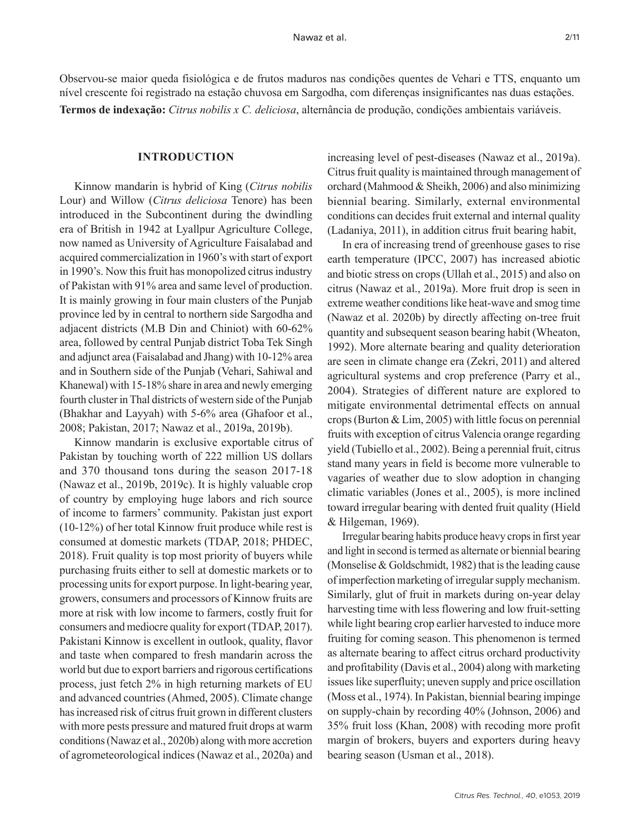Observou-se maior queda fisiológica e de frutos maduros nas condições quentes de Vehari e TTS, enquanto um nível crescente foi registrado na estação chuvosa em Sargodha, com diferenças insignificantes nas duas estações. **Termos de indexação:** *Citrus nobilis x C. deliciosa*, alternância de produção, condições ambientais variáveis.

#### **INTRODUCTION**

Kinnow mandarin is hybrid of King (*Citrus nobilis* Lour) and Willow (*Citrus deliciosa* Tenore) has been introduced in the Subcontinent during the dwindling era of British in 1942 at Lyallpur Agriculture College, now named as University of Agriculture Faisalabad and acquired commercialization in 1960's with start of export in 1990's. Now this fruit has monopolized citrus industry of Pakistan with 91% area and same level of production. It is mainly growing in four main clusters of the Punjab province led by in central to northern side Sargodha and adjacent districts (M.B Din and Chiniot) with 60-62% area, followed by central Punjab district Toba Tek Singh and adjunct area (Faisalabad and Jhang) with 10-12% area and in Southern side of the Punjab (Vehari, Sahiwal and Khanewal) with 15-18% share in area and newly emerging fourth cluster in Thal districts of western side of the Punjab (Bhakhar and Layyah) with 5-6% area (Ghafoor et al., 2008; Pakistan, 2017; Nawaz et al., 2019a, 2019b).

Kinnow mandarin is exclusive exportable citrus of Pakistan by touching worth of 222 million US dollars and 370 thousand tons during the season 2017-18 (Nawaz et al., 2019b, 2019c). It is highly valuable crop of country by employing huge labors and rich source of income to farmers' community. Pakistan just export (10-12%) of her total Kinnow fruit produce while rest is consumed at domestic markets (TDAP, 2018; PHDEC, 2018). Fruit quality is top most priority of buyers while purchasing fruits either to sell at domestic markets or to processing units for export purpose. In light-bearing year, growers, consumers and processors of Kinnow fruits are more at risk with low income to farmers, costly fruit for consumers and mediocre quality for export (TDAP, 2017). Pakistani Kinnow is excellent in outlook, quality, flavor and taste when compared to fresh mandarin across the world but due to export barriers and rigorous certifications process, just fetch 2% in high returning markets of EU and advanced countries (Ahmed, 2005). Climate change has increased risk of citrus fruit grown in different clusters with more pests pressure and matured fruit drops at warm conditions (Nawaz et al., 2020b) along with more accretion of agrometeorological indices (Nawaz et al., 2020a) and

increasing level of pest-diseases (Nawaz et al., 2019a). Citrus fruit quality is maintained through management of orchard (Mahmood & Sheikh, 2006) and also minimizing biennial bearing. Similarly, external environmental conditions can decides fruit external and internal quality (Ladaniya, 2011), in addition citrus fruit bearing habit,

In era of increasing trend of greenhouse gases to rise earth temperature (IPCC, 2007) has increased abiotic and biotic stress on crops (Ullah et al., 2015) and also on citrus (Nawaz et al., 2019a). More fruit drop is seen in extreme weather conditions like heat-wave and smog time (Nawaz et al. 2020b) by directly affecting on-tree fruit quantity and subsequent season bearing habit (Wheaton, 1992). More alternate bearing and quality deterioration are seen in climate change era (Zekri, 2011) and altered agricultural systems and crop preference (Parry et al., 2004). Strategies of different nature are explored to mitigate environmental detrimental effects on annual crops (Burton & Lim, 2005) with little focus on perennial fruits with exception of citrus Valencia orange regarding yield (Tubiello et al., 2002). Being a perennial fruit, citrus stand many years in field is become more vulnerable to vagaries of weather due to slow adoption in changing climatic variables (Jones et al., 2005), is more inclined toward irregular bearing with dented fruit quality (Hield & Hilgeman, 1969).

Irregular bearing habits produce heavy crops in first year and light in second is termed as alternate or biennial bearing (Monselise & Goldschmidt, 1982) that is the leading cause of imperfection marketing of irregular supply mechanism. Similarly, glut of fruit in markets during on-year delay harvesting time with less flowering and low fruit-setting while light bearing crop earlier harvested to induce more fruiting for coming season. This phenomenon is termed as alternate bearing to affect citrus orchard productivity and profitability (Davis et al., 2004) along with marketing issues like superfluity; uneven supply and price oscillation (Moss et al., 1974). In Pakistan, biennial bearing impinge on supply-chain by recording 40% (Johnson, 2006) and 35% fruit loss (Khan, 2008) with recoding more profit margin of brokers, buyers and exporters during heavy bearing season (Usman et al., 2018).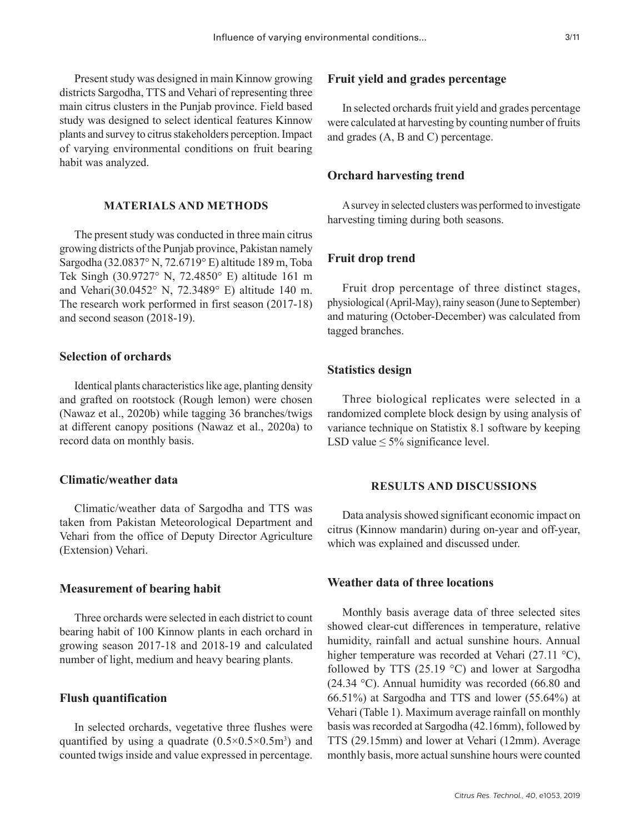Present study was designed in main Kinnow growing districts Sargodha, TTS and Vehari of representing three main citrus clusters in the Punjab province. Field based study was designed to select identical features Kinnow plants and survey to citrus stakeholders perception. Impact of varying environmental conditions on fruit bearing habit was analyzed.

# **MATERIALS AND METHODS**

The present study was conducted in three main citrus growing districts of the Punjab province, Pakistan namely Sargodha (32.0837° N, 72.6719° E) altitude 189 m, Toba Tek Singh (30.9727° N, 72.4850° E) altitude 161 m and Vehari(30.0452° N, 72.3489° E) altitude 140 m. The research work performed in first season (2017-18) and second season (2018-19).

# **Selection of orchards**

Identical plants characteristics like age, planting density and grafted on rootstock (Rough lemon) were chosen (Nawaz et al., 2020b) while tagging 36 branches/twigs at different canopy positions (Nawaz et al., 2020a) to record data on monthly basis.

# **Climatic/weather data**

Climatic/weather data of Sargodha and TTS was taken from Pakistan Meteorological Department and Vehari from the office of Deputy Director Agriculture (Extension) Vehari.

#### **Measurement of bearing habit**

Three orchards were selected in each district to count bearing habit of 100 Kinnow plants in each orchard in growing season 2017-18 and 2018-19 and calculated number of light, medium and heavy bearing plants.

### **Flush quantification**

In selected orchards, vegetative three flushes were quantified by using a quadrate  $(0.5 \times 0.5 \times 0.5 \text{ m}^3)$  and counted twigs inside and value expressed in percentage.

#### **Fruit yield and grades percentage**

In selected orchards fruit yield and grades percentage were calculated at harvesting by counting number of fruits and grades (A, B and C) percentage.

#### **Orchard harvesting trend**

A survey in selected clusters was performed to investigate harvesting timing during both seasons.

#### **Fruit drop trend**

Fruit drop percentage of three distinct stages, physiological (April-May), rainy season (June to September) and maturing (October-December) was calculated from tagged branches.

#### **Statistics design**

Three biological replicates were selected in a randomized complete block design by using analysis of variance technique on Statistix 8.1 software by keeping LSD value  $\leq 5\%$  significance level.

#### **RESULTS AND DISCUSSIONS**

Data analysis showed significant economic impact on citrus (Kinnow mandarin) during on-year and off-year, which was explained and discussed under.

## **Weather data of three locations**

Monthly basis average data of three selected sites showed clear-cut differences in temperature, relative humidity, rainfall and actual sunshine hours. Annual higher temperature was recorded at Vehari (27.11 °C), followed by TTS (25.19 °C) and lower at Sargodha (24.34 °C). Annual humidity was recorded (66.80 and 66.51%) at Sargodha and TTS and lower (55.64%) at Vehari (Table 1). Maximum average rainfall on monthly basis was recorded at Sargodha (42.16mm), followed by TTS (29.15mm) and lower at Vehari (12mm). Average monthly basis, more actual sunshine hours were counted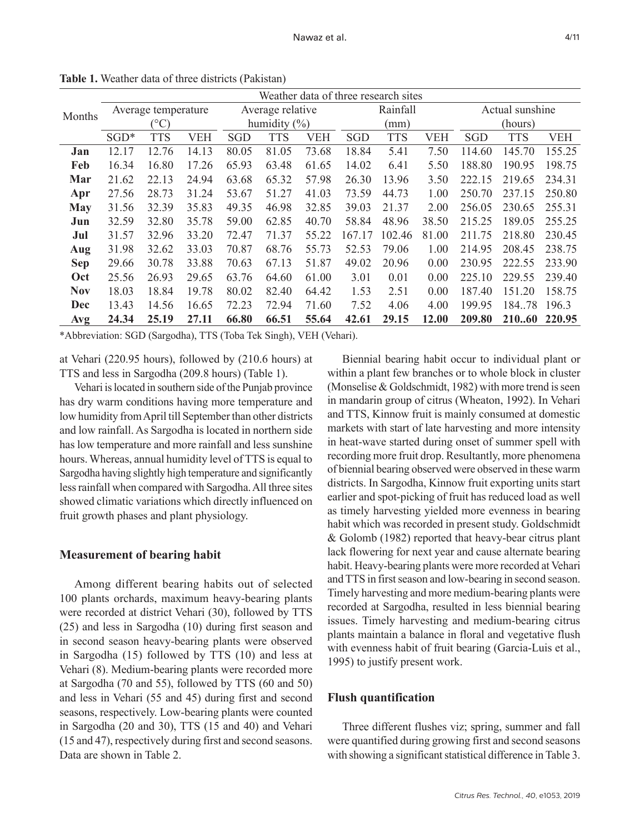|            | Weather data of three research sites |              |            |                  |       |            |            |            |                 |            |            |            |
|------------|--------------------------------------|--------------|------------|------------------|-------|------------|------------|------------|-----------------|------------|------------|------------|
| Months     | Average temperature                  |              |            | Average relative |       | Rainfall   |            |            | Actual sunshine |            |            |            |
|            |                                      | $(^\circ C)$ |            | humidity $(\% )$ |       | (mm)       |            |            | (hours)         |            |            |            |
|            | $SGD*$                               | <b>TTS</b>   | <b>VEH</b> | <b>SGD</b>       | TTS   | <b>VEH</b> | <b>SGD</b> | <b>TTS</b> | <b>VEH</b>      | <b>SGD</b> | <b>TTS</b> | <b>VEH</b> |
| Jan        | 12.17                                | 12.76        | 14.13      | 80.05            | 81.05 | 73.68      | 18.84      | 5.41       | 7.50            | 114.60     | 145.70     | 155.25     |
| Feb        | 16.34                                | 16.80        | 17.26      | 65.93            | 63.48 | 61.65      | 14.02      | 6.41       | 5.50            | 188.80     | 190.95     | 198.75     |
| Mar        | 21.62                                | 22.13        | 24.94      | 63.68            | 65.32 | 57.98      | 26.30      | 13.96      | 3.50            | 222.15     | 219.65     | 234.31     |
| Apr        | 27.56                                | 28.73        | 31.24      | 53.67            | 51.27 | 41.03      | 73.59      | 44.73      | 1.00            | 250.70     | 237.15     | 250.80     |
| <b>May</b> | 31.56                                | 32.39        | 35.83      | 49.35            | 46.98 | 32.85      | 39.03      | 21.37      | 2.00            | 256.05     | 230.65     | 255.31     |
| Jun        | 32.59                                | 32.80        | 35.78      | 59.00            | 62.85 | 40.70      | 58.84      | 48.96      | 38.50           | 215.25     | 189.05     | 255.25     |
| Jul        | 31.57                                | 32.96        | 33.20      | 72.47            | 71.37 | 55.22      | 167.17     | 102.46     | 81.00           | 211.75     | 218.80     | 230.45     |
| Aug        | 31.98                                | 32.62        | 33.03      | 70.87            | 68.76 | 55.73      | 52.53      | 79.06      | 1.00            | 214.95     | 208.45     | 238.75     |
| <b>Sep</b> | 29.66                                | 30.78        | 33.88      | 70.63            | 67.13 | 51.87      | 49.02      | 20.96      | 0.00            | 230.95     | 222.55     | 233.90     |
| Oct        | 25.56                                | 26.93        | 29.65      | 63.76            | 64.60 | 61.00      | 3.01       | 0.01       | 0.00            | 225.10     | 229.55     | 239.40     |
| <b>Nov</b> | 18.03                                | 18.84        | 19.78      | 80.02            | 82.40 | 64.42      | 1.53       | 2.51       | 0.00            | 187.40     | 151.20     | 158.75     |
| <b>Dec</b> | 13.43                                | 14.56        | 16.65      | 72.23            | 72.94 | 71.60      | 7.52       | 4.06       | 4.00            | 199.95     | 184.78     | 196.3      |
| Avg        | 24.34                                | 25.19        | 27.11      | 66.80            | 66.51 | 55.64      | 42.61      | 29.15      | 12.00           | 209.80     | 21060      | 220.95     |

**Table 1.** Weather data of three districts (Pakistan)

\*Abbreviation: SGD (Sargodha), TTS (Toba Tek Singh), VEH (Vehari).

at Vehari (220.95 hours), followed by (210.6 hours) at TTS and less in Sargodha (209.8 hours) (Table 1).

Vehari is located in southern side of the Punjab province has dry warm conditions having more temperature and low humidity from April till September than other districts and low rainfall. As Sargodha is located in northern side has low temperature and more rainfall and less sunshine hours. Whereas, annual humidity level of TTS is equal to Sargodha having slightly high temperature and significantly less rainfall when compared with Sargodha. All three sites showed climatic variations which directly influenced on fruit growth phases and plant physiology.

# **Measurement of bearing habit**

Among different bearing habits out of selected 100 plants orchards, maximum heavy-bearing plants were recorded at district Vehari (30), followed by TTS (25) and less in Sargodha (10) during first season and in second season heavy-bearing plants were observed in Sargodha (15) followed by TTS (10) and less at Vehari (8). Medium-bearing plants were recorded more at Sargodha (70 and 55), followed by TTS (60 and 50) and less in Vehari (55 and 45) during first and second seasons, respectively. Low-bearing plants were counted in Sargodha (20 and 30), TTS (15 and 40) and Vehari (15 and 47), respectively during first and second seasons. Data are shown in Table 2.

Biennial bearing habit occur to individual plant or within a plant few branches or to whole block in cluster (Monselise & Goldschmidt, 1982) with more trend is seen in mandarin group of citrus (Wheaton, 1992). In Vehari and TTS, Kinnow fruit is mainly consumed at domestic markets with start of late harvesting and more intensity in heat-wave started during onset of summer spell with recording more fruit drop. Resultantly, more phenomena of biennial bearing observed were observed in these warm districts. In Sargodha, Kinnow fruit exporting units start earlier and spot-picking of fruit has reduced load as well as timely harvesting yielded more evenness in bearing habit which was recorded in present study. Goldschmidt & Golomb (1982) reported that heavy-bear citrus plant lack flowering for next year and cause alternate bearing habit. Heavy-bearing plants were more recorded at Vehari and TTS in first season and low-bearing in second season. Timely harvesting and more medium-bearing plants were recorded at Sargodha, resulted in less biennial bearing issues. Timely harvesting and medium-bearing citrus plants maintain a balance in floral and vegetative flush with evenness habit of fruit bearing (Garcia-Luis et al., 1995) to justify present work.

### **Flush quantification**

Three different flushes viz; spring, summer and fall were quantified during growing first and second seasons with showing a significant statistical difference in Table 3.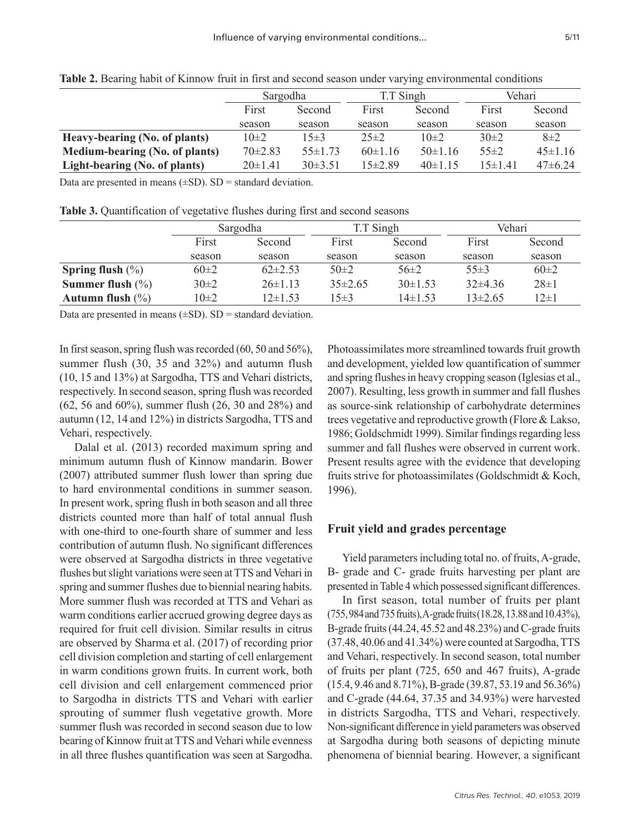|                                       | Sargodha        |             | T.T Singh   |               | Vehari       |              |
|---------------------------------------|-----------------|-------------|-------------|---------------|--------------|--------------|
|                                       | First<br>Second |             | First       | Second        | First        | Second       |
|                                       | season          | season      | season      | season        | season       | season       |
| Heavy-bearing (No. of plants)         | $10\pm 2$       | $15+3$      | $25 \pm 2$  | $10\pm2$      | $30\pm2$     | $8\pm2$      |
| <b>Medium-bearing (No. of plants)</b> | $70\pm2.83$     | $55\pm1.73$ | $60\pm1.16$ | $50 \pm 1.16$ | $55\pm2$     | $45\pm1.16$  |
| Light-bearing (No. of plants)         | $20 \pm 1.41$   | $30\pm3.51$ | $15+289$    | $40\pm1.15$   | $15 \pm 141$ | $47\pm 6.24$ |

**Table 2.** Bearing habit of Kinnow fruit in first and second season under varying environmental conditions

Data are presented in means  $(\pm SD)$ .  $SD =$  standard deviation.

**Table 3.** Quantification of vegetative flushes during first and second seasons

|                      |           | Sargodha      | T.T Singh   |              | Vehari      |            |
|----------------------|-----------|---------------|-------------|--------------|-------------|------------|
|                      | First     | Second        | First       | Second       | First       | Second     |
|                      | season    | season        | season      | season       | season      | season     |
| Spring flush $(\% )$ | $60\pm2$  | $62\pm2.53$   | $50\pm2$    | $56\pm2$     | $55\pm3$    | $60\pm2$   |
| Summer flush $(\% )$ | $30\pm2$  | $26\pm1.13$   | $35\pm2.65$ | $30\pm1.53$  | $32\pm4.36$ | $28 \pm 1$ |
| Autumn flush $(\% )$ | $10\pm 2$ | $12 \pm 1.53$ | $15\pm3$    | $14\pm 1.53$ | $13\pm2.65$ | 12±1       |

Data are presented in means  $(\pm SD)$ .  $SD =$  standard deviation.

In first season, spring flush was recorded (60, 50 and 56%), summer flush (30, 35 and 32%) and autumn flush (10, 15 and 13%) at Sargodha, TTS and Vehari districts, respectively. In second season, spring flush was recorded (62, 56 and 60%), summer flush (26, 30 and 28%) and autumn (12, 14 and 12%) in districts Sargodha, TTS and Vehari, respectively.

Dalal et al. (2013) recorded maximum spring and minimum autumn flush of Kinnow mandarin. Bower (2007) attributed summer flush lower than spring due to hard environmental conditions in summer season. In present work, spring flush in both season and all three districts counted more than half of total annual flush with one-third to one-fourth share of summer and less contribution of autumn flush. No significant differences were observed at Sargodha districts in three vegetative flushes but slight variations were seen at TTS and Vehari in spring and summer flushes due to biennial nearing habits. More summer flush was recorded at TTS and Vehari as warm conditions earlier accrued growing degree days as required for fruit cell division. Similar results in citrus are observed by Sharma et al. (2017) of recording prior cell division completion and starting of cell enlargement in warm conditions grown fruits. In current work, both cell division and cell enlargement commenced prior to Sargodha in districts TTS and Vehari with earlier sprouting of summer flush vegetative growth. More summer flush was recorded in second season due to low bearing of Kinnow fruit at TTS and Vehari while evenness in all three flushes quantification was seen at Sargodha.

Photoassimilates more streamlined towards fruit growth and development, yielded low quantification of summer and spring flushes in heavy cropping season (Iglesias et al., 2007). Resulting, less growth in summer and fall flushes as source-sink relationship of carbohydrate determines trees vegetative and reproductive growth (Flore & Lakso, 1986; Goldschmidt 1999). Similar findings regarding less summer and fall flushes were observed in current work. Present results agree with the evidence that developing fruits strive for photoassimilates (Goldschmidt & Koch, 1996).

# **Fruit yield and grades percentage**

Yield parameters including total no. of fruits, A-grade, B- grade and C- grade fruits harvesting per plant are presented in Table 4 which possessed significant differences.

In first season, total number of fruits per plant (755, 984 and 735 fruits), A-grade fruits (18.28, 13.88 and 10.43%), B-grade fruits (44.24, 45.52 and 48.23%) and C-grade fruits (37.48, 40.06 and 41.34%) were counted at Sargodha, TTS and Vehari, respectively. In second season, total number of fruits per plant (725, 650 and 467 fruits), A-grade (15.4, 9.46 and 8.71%), B-grade (39.87, 53.19 and 56.36%) and C-grade (44.64, 37.35 and 34.93%) were harvested in districts Sargodha, TTS and Vehari, respectively. Non-significant difference in yield parameters was observed at Sargodha during both seasons of depicting minute phenomena of biennial bearing. However, a significant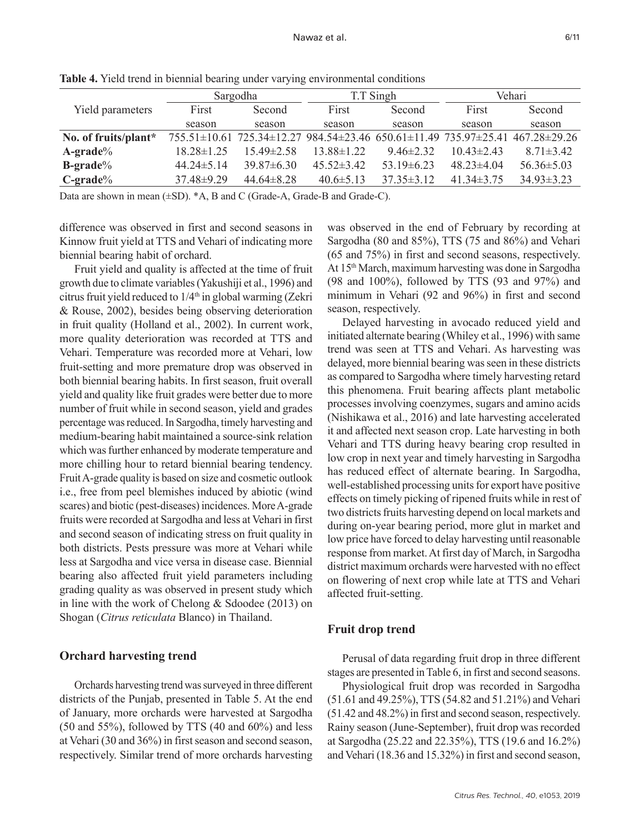|                      |                  | Sargodha         |                                                                               | T.T Singh        | Vehari           |                  |  |
|----------------------|------------------|------------------|-------------------------------------------------------------------------------|------------------|------------------|------------------|--|
| Yield parameters     | First            | Second           | First                                                                         | Second           | First            | Second           |  |
|                      | season           | season           | season                                                                        | season           | season           | season           |  |
| No. of fruits/plant* |                  |                  | 755.51±10.61 725.34±12.27 984.54±23.46 650.61±11.49 735.97±25.41 467.28±29.26 |                  |                  |                  |  |
| $A$ -grade $\%$      | $18.28 \pm 1.25$ | $15.49 \pm 2.58$ | $13.88 \pm 1.22$                                                              | $946\pm232$      | $10.43 \pm 2.43$ | $8.71 \pm 3.42$  |  |
| <b>B-grade</b> %     | $44.24 \pm 5.14$ | $39.87\pm 6.30$  | $45.52 \pm 3.42$                                                              | $53.19\pm 6.23$  | $48.23 \pm 4.04$ | $56.36 \pm 5.03$ |  |
| $C\text{-grade}\%$   | $37.48 \pm 9.29$ | $44.64 \pm 8.28$ | $40.6 \pm 5.13$                                                               | $37.35 \pm 3.12$ | $41.34 \pm 3.75$ | $34.93 \pm 3.23$ |  |

**Table 4.** Yield trend in biennial bearing under varying environmental conditions

Data are shown in mean ( $\pm$ SD).  $^*A$ , B and C (Grade-A, Grade-B and Grade-C).

difference was observed in first and second seasons in Kinnow fruit yield at TTS and Vehari of indicating more biennial bearing habit of orchard.

Fruit yield and quality is affected at the time of fruit growth due to climate variables (Yakushiji et al., 1996) and citrus fruit yield reduced to  $1/4<sup>th</sup>$  in global warming (Zekri & Rouse, 2002), besides being observing deterioration in fruit quality (Holland et al., 2002). In current work, more quality deterioration was recorded at TTS and Vehari. Temperature was recorded more at Vehari, low fruit-setting and more premature drop was observed in both biennial bearing habits. In first season, fruit overall yield and quality like fruit grades were better due to more number of fruit while in second season, yield and grades percentage was reduced. In Sargodha, timely harvesting and medium-bearing habit maintained a source-sink relation which was further enhanced by moderate temperature and more chilling hour to retard biennial bearing tendency. Fruit A-grade quality is based on size and cosmetic outlook i.e., free from peel blemishes induced by abiotic (wind scares) and biotic (pest-diseases) incidences. More A-grade fruits were recorded at Sargodha and less at Vehari in first and second season of indicating stress on fruit quality in both districts. Pests pressure was more at Vehari while less at Sargodha and vice versa in disease case. Biennial bearing also affected fruit yield parameters including grading quality as was observed in present study which in line with the work of Chelong & Sdoodee (2013) on Shogan (*Citrus reticulata* Blanco) in Thailand.

# **Orchard harvesting trend**

Orchards harvesting trend was surveyed in three different districts of the Punjab, presented in Table 5. At the end of January, more orchards were harvested at Sargodha  $(50$  and  $55\%)$ , followed by TTS  $(40$  and  $60\%)$  and less at Vehari (30 and 36%) in first season and second season, respectively. Similar trend of more orchards harvesting

was observed in the end of February by recording at Sargodha (80 and 85%), TTS (75 and 86%) and Vehari (65 and 75%) in first and second seasons, respectively. At 15th March, maximum harvesting was done in Sargodha (98 and 100%), followed by TTS (93 and 97%) and minimum in Vehari (92 and 96%) in first and second season, respectively.

Delayed harvesting in avocado reduced yield and initiated alternate bearing (Whiley et al., 1996) with same trend was seen at TTS and Vehari. As harvesting was delayed, more biennial bearing was seen in these districts as compared to Sargodha where timely harvesting retard this phenomena. Fruit bearing affects plant metabolic processes involving coenzymes, sugars and amino acids (Nishikawa et al., 2016) and late harvesting accelerated it and affected next season crop. Late harvesting in both Vehari and TTS during heavy bearing crop resulted in low crop in next year and timely harvesting in Sargodha has reduced effect of alternate bearing. In Sargodha, well-established processing units for export have positive effects on timely picking of ripened fruits while in rest of two districts fruits harvesting depend on local markets and during on-year bearing period, more glut in market and low price have forced to delay harvesting until reasonable response from market. At first day of March, in Sargodha district maximum orchards were harvested with no effect on flowering of next crop while late at TTS and Vehari affected fruit-setting.

# **Fruit drop trend**

Perusal of data regarding fruit drop in three different stages are presented in Table 6, in first and second seasons.

Physiological fruit drop was recorded in Sargodha (51.61 and 49.25%), TTS (54.82 and 51.21%) and Vehari (51.42 and 48.2%) in first and second season, respectively. Rainy season (June-September), fruit drop was recorded at Sargodha (25.22 and 22.35%), TTS (19.6 and 16.2%) and Vehari (18.36 and 15.32%) in first and second season,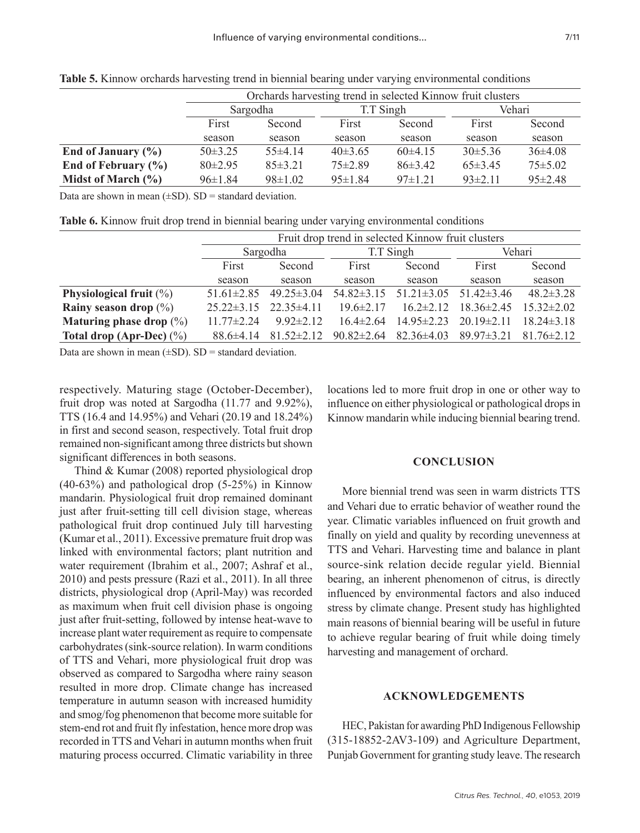|                         | Orchards harvesting trend in selected Kinnow fruit clusters |               |               |             |               |               |  |  |  |
|-------------------------|-------------------------------------------------------------|---------------|---------------|-------------|---------------|---------------|--|--|--|
|                         |                                                             | Sargodha      |               | T.T Singh   | Vehari        |               |  |  |  |
|                         | First<br>Second                                             |               | First         | Second      | First         | Second        |  |  |  |
|                         | season                                                      | season        | season        | season      | season        | season        |  |  |  |
| End of January $(\% )$  | $50\pm3.25$                                                 | $55\pm4.14$   | $40\pm3.65$   | $60\pm4.15$ | $30\pm5.36$   | $36\pm4.08$   |  |  |  |
| End of February $(\% )$ | $80\pm2.95$                                                 | $85\pm3.21$   | $75 \pm 2.89$ | $86\pm3.42$ | $65\pm3.45$   | $75 \pm 5.02$ |  |  |  |
| Midst of March $(\% )$  | $96 \pm 1.84$                                               | $98 \pm 1.02$ | $95 \pm 1.84$ | $97\pm1.21$ | $93 \pm 2.11$ | $95 \pm 2.48$ |  |  |  |

**Table 5.** Kinnow orchards harvesting trend in biennial bearing under varying environmental conditions

Data are shown in mean  $(\pm SD)$ .  $SD =$  standard deviation.

**Table 6.** Kinnow fruit drop trend in biennial bearing under varying environmental conditions

|                             |                  | Fruit drop trend in selected Kinnow fruit clusters |                  |                  |                  |                  |  |  |  |  |
|-----------------------------|------------------|----------------------------------------------------|------------------|------------------|------------------|------------------|--|--|--|--|
|                             |                  | Sargodha                                           |                  | T.T Singh        | Vehari           |                  |  |  |  |  |
|                             | First<br>Second  |                                                    | First            | Second           | First            | Second           |  |  |  |  |
|                             | season           | season                                             | season<br>season |                  | season           | season           |  |  |  |  |
| Physiological fruit $(\%)$  | $51.61 \pm 2.85$ | $49.25 \pm 3.04$                                   | $54.82\pm3.15$   | $51.21 \pm 3.05$ | $51.42 \pm 3.46$ | $48.2 \pm 3.28$  |  |  |  |  |
| Rainy season drop $(\%)$    | $25.22 \pm 3.15$ | $22.35\pm4.11$                                     | $19.6 \pm 2.17$  | $16.2 \pm 2.12$  | $18.36 \pm 2.45$ | $15.32 \pm 2.02$ |  |  |  |  |
| Maturing phase drop $(\%)$  | 11 $77\pm 2$ 24  | $9.92 \pm 2.12$                                    | $16.4 \pm 2.64$  | $14.95 \pm 2.23$ | $20.19 \pm 2.11$ | $18.24 \pm 3.18$ |  |  |  |  |
| Total drop (Apr-Dec) $(\%)$ | $88.6\pm4.14$    | $81.52 \pm 2.12$                                   | $90.82 \pm 2.64$ | $82.36\pm4.03$   | $89.97 \pm 3.21$ | $8176\pm212$     |  |  |  |  |

Data are shown in mean  $(\pm SD)$ .  $SD =$  standard deviation.

respectively. Maturing stage (October-December), fruit drop was noted at Sargodha (11.77 and 9.92%), TTS (16.4 and 14.95%) and Vehari (20.19 and 18.24%) in first and second season, respectively. Total fruit drop remained non-significant among three districts but shown significant differences in both seasons.

Thind & Kumar (2008) reported physiological drop (40-63%) and pathological drop (5-25%) in Kinnow mandarin. Physiological fruit drop remained dominant just after fruit-setting till cell division stage, whereas pathological fruit drop continued July till harvesting (Kumar et al., 2011). Excessive premature fruit drop was linked with environmental factors; plant nutrition and water requirement (Ibrahim et al., 2007; Ashraf et al., 2010) and pests pressure (Razi et al., 2011). In all three districts, physiological drop (April-May) was recorded as maximum when fruit cell division phase is ongoing just after fruit-setting, followed by intense heat-wave to increase plant water requirement as require to compensate carbohydrates (sink-source relation). In warm conditions of TTS and Vehari, more physiological fruit drop was observed as compared to Sargodha where rainy season resulted in more drop. Climate change has increased temperature in autumn season with increased humidity and smog/fog phenomenon that become more suitable for stem-end rot and fruit fly infestation, hence more drop was recorded in TTS and Vehari in autumn months when fruit maturing process occurred. Climatic variability in three locations led to more fruit drop in one or other way to influence on either physiological or pathological drops in Kinnow mandarin while inducing biennial bearing trend.

#### **CONCLUSION**

More biennial trend was seen in warm districts TTS and Vehari due to erratic behavior of weather round the year. Climatic variables influenced on fruit growth and finally on yield and quality by recording unevenness at TTS and Vehari. Harvesting time and balance in plant source-sink relation decide regular yield. Biennial bearing, an inherent phenomenon of citrus, is directly influenced by environmental factors and also induced stress by climate change. Present study has highlighted main reasons of biennial bearing will be useful in future to achieve regular bearing of fruit while doing timely harvesting and management of orchard.

#### **ACKNOWLEDGEMENTS**

HEC, Pakistan for awarding PhD Indigenous Fellowship (315-18852-2AV3-109) and Agriculture Department, Punjab Government for granting study leave. The research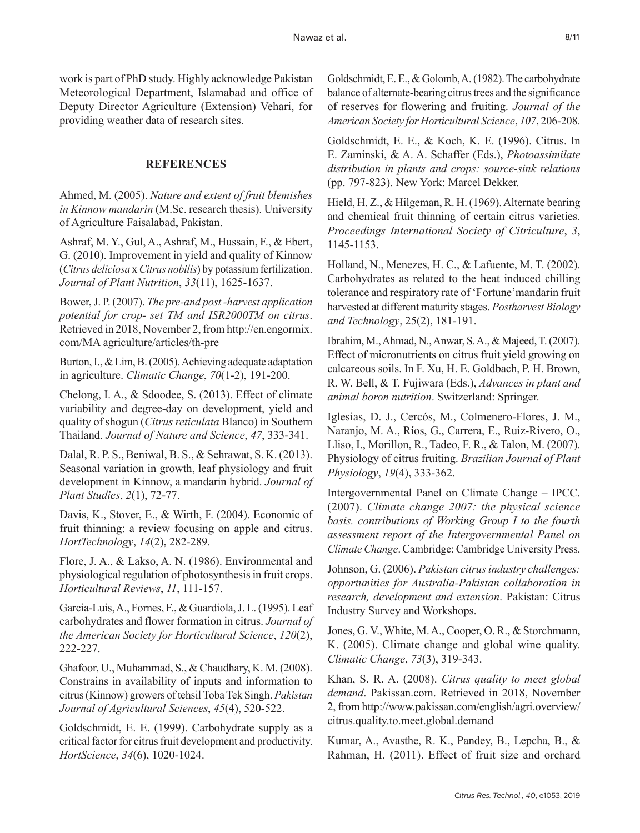work is part of PhD study. Highly acknowledge Pakistan Meteorological Department, Islamabad and office of Deputy Director Agriculture (Extension) Vehari, for providing weather data of research sites.

# **REFERENCES**

Ahmed, M. (2005). *Nature and extent of fruit blemishes in Kinnow mandarin* (M.Sc. research thesis). University of Agriculture Faisalabad, Pakistan.

Ashraf, M. Y., Gul, A., Ashraf, M., Hussain, F., & Ebert, G. (2010). Improvement in yield and quality of Kinnow (*Citrus deliciosa* x *Citrus nobilis*) by potassium fertilization. *Journal of Plant Nutrition*, *33*(11), 1625-1637.

Bower, J. P. (2007). *The pre-and post -harvest application potential for crop- set TM and ISR2000TM on citrus*. Retrieved in 2018, November 2, from http://en.engormix. com/MA agriculture/articles/th-pre

Burton, I., & Lim, B. (2005). Achieving adequate adaptation in agriculture. *Climatic Change*, *70*(1-2), 191-200.

Chelong, I. A., & Sdoodee, S. (2013). Effect of climate variability and degree-day on development, yield and quality of shogun (*Citrus reticulata* Blanco) in Southern Thailand. *Journal of Nature and Science*, *47*, 333-341.

Dalal, R. P. S., Beniwal, B. S., & Sehrawat, S. K. (2013). Seasonal variation in growth, leaf physiology and fruit development in Kinnow, a mandarin hybrid. *Journal of Plant Studies*, *2*(1), 72-77.

Davis, K., Stover, E., & Wirth, F. (2004). Economic of fruit thinning: a review focusing on apple and citrus. *HortTechnology*, *14*(2), 282-289.

Flore, J. A., & Lakso, A. N. (1986). Environmental and physiological regulation of photosynthesis in fruit crops. *Horticultural Reviews*, *11*, 111-157.

Garcia-Luis, A., Fornes, F., & Guardiola, J. L. (1995). Leaf carbohydrates and flower formation in citrus. *Journal of the American Society for Horticultural Science*, *120*(2), 222-227.

Ghafoor, U., Muhammad, S., & Chaudhary, K. M. (2008). Constrains in availability of inputs and information to citrus (Kinnow) growers of tehsil Toba Tek Singh. *Pakistan Journal of Agricultural Sciences*, *45*(4), 520-522.

Goldschmidt, E. E. (1999). Carbohydrate supply as a critical factor for citrus fruit development and productivity. *HortScience*, *34*(6), 1020-1024.

Goldschmidt, E. E., & Golomb, A. (1982). The carbohydrate balance of alternate-bearing citrus trees and the significance of reserves for flowering and fruiting. *Journal of the American Society for Horticultural Science*, *107*, 206-208.

Goldschmidt, E. E., & Koch, K. E. (1996). Citrus. In E. Zaminski, & A. A. Schaffer (Eds.), *Photoassimilate distribution in plants and crops: source-sink relations* (pp. 797-823). New York: Marcel Dekker.

Hield, H. Z., & Hilgeman, R. H. (1969). Alternate bearing and chemical fruit thinning of certain citrus varieties. *Proceedings International Society of Citriculture*, *3*, 1145-1153.

Holland, N., Menezes, H. C., & Lafuente, M. T. (2002). Carbohydrates as related to the heat induced chilling tolerance and respiratory rate of 'Fortune'mandarin fruit harvested at different maturity stages. *Postharvest Biology and Technology*, 25(2), 181-191.

Ibrahim, M., Ahmad, N., Anwar, S. A., & Majeed, T. (2007). Effect of micronutrients on citrus fruit yield growing on calcareous soils. In F. Xu, H. E. Goldbach, P. H. Brown, R. W. Bell, & T. Fujiwara (Eds.), *Advances in plant and animal boron nutrition*. Switzerland: Springer.

Iglesias, D. J., Cercós, M., Colmenero-Flores, J. M., Naranjo, M. A., Ríos, G., Carrera, E., Ruiz-Rivero, O., Lliso, I., Morillon, R., Tadeo, F. R., & Talon, M. (2007). Physiology of citrus fruiting. *Brazilian Journal of Plant Physiology*, *19*(4), 333-362.

Intergovernmental Panel on Climate Change – IPCC. (2007). *Climate change 2007: the physical science basis. contributions of Working Group I to the fourth assessment report of the Intergovernmental Panel on Climate Change*. Cambridge: Cambridge University Press.

Johnson, G. (2006). *Pakistan citrus industry challenges: opportunities for Australia-Pakistan collaboration in research, development and extension*. Pakistan: Citrus Industry Survey and Workshops.

Jones, G. V., White, M. A., Cooper, O. R., & Storchmann, K. (2005). Climate change and global wine quality. *Climatic Change*, *73*(3), 319-343.

Khan, S. R. A. (2008). *Citrus quality to meet global demand*. Pakissan.com. Retrieved in 2018, November 2, from http://www.pakissan.com/english/agri.overview/ citrus.quality.to.meet.global.demand

Kumar, A., Avasthe, R. K., Pandey, B., Lepcha, B., & Rahman, H. (2011). Effect of fruit size and orchard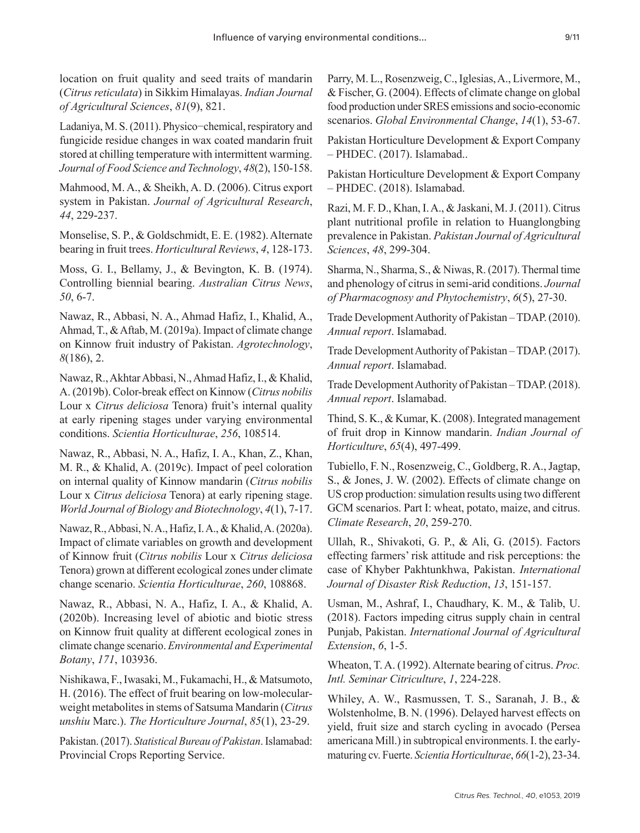location on fruit quality and seed traits of mandarin (*Citrus reticulata*) in Sikkim Himalayas. *Indian Journal of Agricultural Sciences*, *81*(9), 821.

Ladaniya, M. S. (2011). Physico−chemical, respiratory and fungicide residue changes in wax coated mandarin fruit stored at chilling temperature with intermittent warming. *Journal of Food Science and Technology*, *48*(2), 150-158.

Mahmood, M. A., & Sheikh, A. D. (2006). Citrus export system in Pakistan. *Journal of Agricultural Research*, *44*, 229-237.

Monselise, S. P., & Goldschmidt, E. E. (1982). Alternate bearing in fruit trees. *Horticultural Reviews*, *4*, 128-173.

Moss, G. I., Bellamy, J., & Bevington, K. B. (1974). Controlling biennial bearing. *Australian Citrus News*, *50*, 6-7.

Nawaz, R., Abbasi, N. A., Ahmad Hafiz, I., Khalid, A., Ahmad, T., & Aftab, M. (2019a). Impact of climate change on Kinnow fruit industry of Pakistan. *Agrotechnology*, *8*(186), 2.

Nawaz, R., Akhtar Abbasi, N., Ahmad Hafiz, I., & Khalid, A. (2019b). Color-break effect on Kinnow (*Citrus nobilis* Lour x *Citrus deliciosa* Tenora) fruit's internal quality at early ripening stages under varying environmental conditions. *Scientia Horticulturae*, *256*, 108514.

Nawaz, R., Abbasi, N. A., Hafiz, I. A., Khan, Z., Khan, M. R., & Khalid, A. (2019c). Impact of peel coloration on internal quality of Kinnow mandarin (*Citrus nobilis* Lour x *Citrus deliciosa* Tenora) at early ripening stage. *World Journal of Biology and Biotechnology*, *4*(1), 7-17.

Nawaz, R., Abbasi, N. A., Hafiz, I. A., & Khalid, A. (2020a). Impact of climate variables on growth and development of Kinnow fruit (*Citrus nobilis* Lour x *Citrus deliciosa* Tenora) grown at different ecological zones under climate change scenario. *Scientia Horticulturae*, *260*, 108868.

Nawaz, R., Abbasi, N. A., Hafiz, I. A., & Khalid, A. (2020b). Increasing level of abiotic and biotic stress on Kinnow fruit quality at different ecological zones in climate change scenario. *Environmental and Experimental Botany*, *171*, 103936.

Nishikawa, F., Iwasaki, M., Fukamachi, H., & Matsumoto, H. (2016). The effect of fruit bearing on low-molecularweight metabolites in stems of Satsuma Mandarin (*Citrus unshiu* Marc.). *The Horticulture Journal*, *85*(1), 23-29.

Pakistan. (2017). *Statistical Bureau of Pakistan*. Islamabad: Provincial Crops Reporting Service.

Parry, M. L., Rosenzweig, C., Iglesias, A., Livermore, M., & Fischer, G. (2004). Effects of climate change on global food production under SRES emissions and socio-economic scenarios. *Global Environmental Change*, *14*(1), 53-67.

Pakistan Horticulture Development & Export Company – PHDEC. (2017). Islamabad..

Pakistan Horticulture Development & Export Company – PHDEC. (2018). Islamabad.

Razi, M. F. D., Khan, I. A., & Jaskani, M. J. (2011). Citrus plant nutritional profile in relation to Huanglongbing prevalence in Pakistan. *Pakistan Journal of Agricultural Sciences*, *48*, 299-304.

Sharma, N., Sharma, S., & Niwas, R. (2017). Thermal time and phenology of citrus in semi-arid conditions. *Journal of Pharmacognosy and Phytochemistry*, *6*(5), 27-30.

Trade Development Authority of Pakistan – TDAP. (2010). *Annual report*. Islamabad.

Trade Development Authority of Pakistan – TDAP. (2017). *Annual report*. Islamabad.

Trade Development Authority of Pakistan – TDAP. (2018). *Annual report*. Islamabad.

Thind, S. K., & Kumar, K. (2008). Integrated management of fruit drop in Kinnow mandarin. *Indian Journal of Horticulture*, *65*(4), 497-499.

Tubiello, F. N., Rosenzweig, C., Goldberg, R. A., Jagtap, S., & Jones, J. W. (2002). Effects of climate change on US crop production: simulation results using two different GCM scenarios. Part I: wheat, potato, maize, and citrus. *Climate Research*, *20*, 259-270.

Ullah, R., Shivakoti, G. P., & Ali, G. (2015). Factors effecting farmers' risk attitude and risk perceptions: the case of Khyber Pakhtunkhwa, Pakistan. *International Journal of Disaster Risk Reduction*, *13*, 151-157.

Usman, M., Ashraf, I., Chaudhary, K. M., & Talib, U. (2018). Factors impeding citrus supply chain in central Punjab, Pakistan. *International Journal of Agricultural Extension*, *6*, 1-5.

Wheaton, T. A. (1992). Alternate bearing of citrus. *Proc. Intl. Seminar Citriculture*, *1*, 224-228.

Whiley, A. W., Rasmussen, T. S., Saranah, J. B., & Wolstenholme, B. N. (1996). Delayed harvest effects on yield, fruit size and starch cycling in avocado (Persea americana Mill.) in subtropical environments. I. the earlymaturing cv. Fuerte. *Scientia Horticulturae*, *66*(1-2), 23-34.